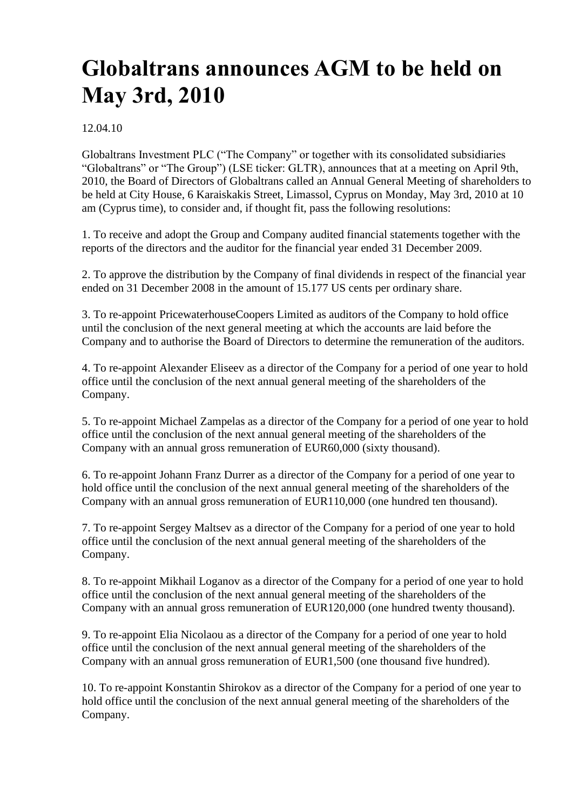# **Globaltrans announces AGM to be held on May 3rd, 2010**

12.04.10

Globaltrans Investment PLC ("The Company" or together with its consolidated subsidiaries "Globaltrans" or "The Group") (LSE ticker: GLTR), announces that at a meeting on April 9th, 2010, the Board of Directors of Globaltrans called an Annual General Meeting of shareholders to be held at City House, 6 Karaiskakis Street, Limassol, Cyprus on Monday, May 3rd, 2010 at 10 am (Cyprus time), to consider and, if thought fit, pass the following resolutions:

1. To receive and adopt the Group and Company audited financial statements together with the reports of the directors and the auditor for the financial year ended 31 December 2009.

2. To approve the distribution by the Company of final dividends in respect of the financial year ended on 31 December 2008 in the amount of 15.177 US cents per ordinary share.

3. To re-appoint PricewaterhouseCoopers Limited as auditors of the Company to hold office until the conclusion of the next general meeting at which the accounts are laid before the Company and to authorise the Board of Directors to determine the remuneration of the auditors.

4. To re-appoint Alexander Eliseev as a director of the Company for a period of one year to hold office until the conclusion of the next annual general meeting of the shareholders of the Company.

5. To re-appoint Michael Zampelas as a director of the Company for a period of one year to hold office until the conclusion of the next annual general meeting of the shareholders of the Company with an annual gross remuneration of EUR60,000 (sixty thousand).

6. To re-appoint Johann Franz Durrer as a director of the Company for a period of one year to hold office until the conclusion of the next annual general meeting of the shareholders of the Company with an annual gross remuneration of EUR110,000 (one hundred ten thousand).

7. To re-appoint Sergey Maltsev as a director of the Company for a period of one year to hold office until the conclusion of the next annual general meeting of the shareholders of the Company.

8. To re-appoint Mikhail Loganov as a director of the Company for a period of one year to hold office until the conclusion of the next annual general meeting of the shareholders of the Company with an annual gross remuneration of EUR120,000 (one hundred twenty thousand).

9. To re-appoint Elia Nicolaou as a director of the Company for a period of one year to hold office until the conclusion of the next annual general meeting of the shareholders of the Company with an annual gross remuneration of EUR1,500 (one thousand five hundred).

10. To re-appoint Konstantin Shirokov as a director of the Company for a period of one year to hold office until the conclusion of the next annual general meeting of the shareholders of the Company.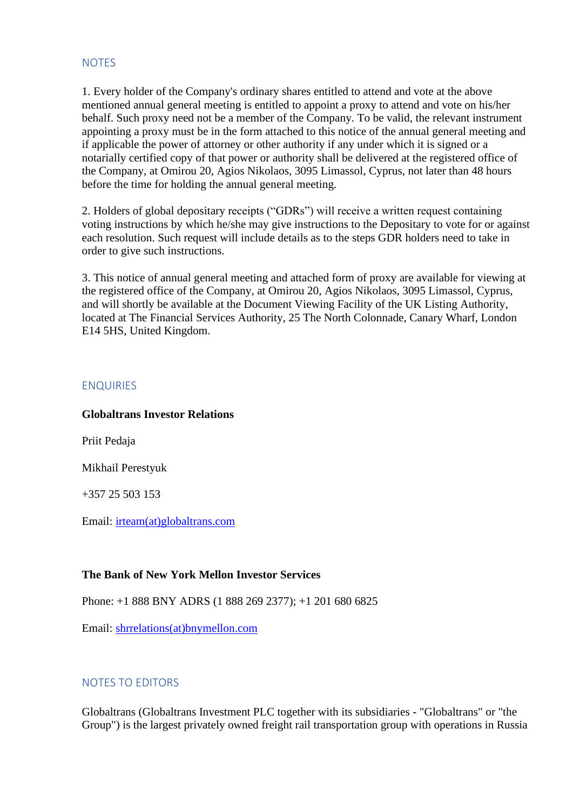## **NOTES**

1. Every holder of the Company's ordinary shares entitled to attend and vote at the above mentioned annual general meeting is entitled to appoint a proxy to attend and vote on his/her behalf. Such proxy need not be a member of the Company. To be valid, the relevant instrument appointing a proxy must be in the form attached to this notice of the annual general meeting and if applicable the power of attorney or other authority if any under which it is signed or a notarially certified copy of that power or authority shall be delivered at the registered office of the Company, at Omirou 20, Agios Nikolaos, 3095 Limassol, Cyprus, not later than 48 hours before the time for holding the annual general meeting.

2. Holders of global depositary receipts ("GDRs") will receive a written request containing voting instructions by which he/she may give instructions to the Depositary to vote for or against each resolution. Such request will include details as to the steps GDR holders need to take in order to give such instructions.

3. This notice of annual general meeting and attached form of proxy are available for viewing at the registered office of the Company, at Omirou 20, Agios Nikolaos, 3095 Limassol, Cyprus, and will shortly be available at the Document Viewing Facility of the UK Listing Authority, located at The Financial Services Authority, 25 The North Colonnade, Canary Wharf, London E14 5HS, United Kingdom.

#### ENQUIRIES

#### **Globaltrans Investor Relations**

Priit Pedaja

Mikhail Perestyuk

+357 25 503 153

Email: [irteam\(at\)globaltrans.com](mailto:irteam@globaltrans.com)

#### **The Bank of New York Mellon Investor Services**

Phone: +1 888 BNY ADRS (1 888 269 2377); +1 201 680 6825

Email: [shrrelations\(at\)bnymellon.com](mailto:shrrelations@bnymellon.com)

#### NOTES TO EDITORS

Globaltrans (Globaltrans Investment PLC together with its subsidiaries - "Globaltrans" or "the Group") is the largest privately owned freight rail transportation group with operations in Russia